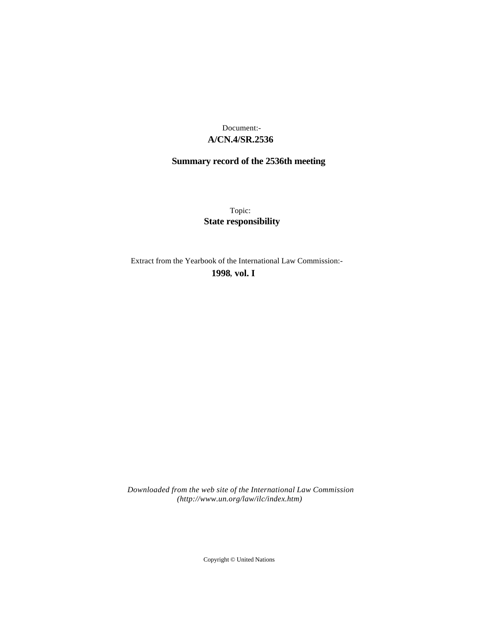## **A/CN.4/SR.2536** Document:-

# **Summary record of the 2536th meeting**

Topic: **State responsibility**

Extract from the Yearbook of the International Law Commission:-

**1998** , **vol. I**

*Downloaded from the web site of the International Law Commission (http://www.un.org/law/ilc/index.htm)*

Copyright © United Nations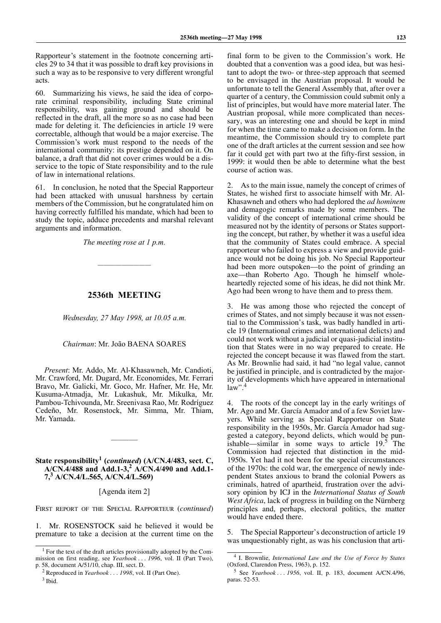Rapporteur's statement in the footnote concerning articles 29 to 34 that it was possible to draft key provisions in such a way as to be responsive to very different wrongful acts.

60. Summarizing his views, he said the idea of corporate criminal responsibility, including State criminal responsibility, was gaining ground and should be reflected in the draft, all the more so as no case had been made for deleting it. The deficiencies in article 19 were correctable, although that would be a major exercise. The Commission's work must respond to the needs of the international community: its prestige depended on it. On balance, a draft that did not cover crimes would be a disservice to the topic of State responsibility and to the rule of law in international relations.

61. In conclusion, he noted that the Special Rapporteur had been attacked with unusual harshness by certain members of the Commission, but he congratulated him on having correctly fulfilled his mandate, which had been to study the topic, adduce precedents and marshal relevant arguments and information.

*The meeting rose at 1 p.m.*

—————————

## **2536th MEETING**

*Wednesday, 27 May 1998, at 10.05 a.m.*

#### *Chairman*: Mr. João BAENA SOARES

*Present*: Mr. Addo, Mr. Al-Khasawneh, Mr. Candioti, Mr. Crawford, Mr. Dugard, Mr. Economides, Mr. Ferrari Bravo, Mr. Galicki, Mr. Goco, Mr. Hafner, Mr. He, Mr. Kusuma-Atmadja, Mr. Lukashuk, Mr. Mikulka, Mr. Pambou-Tchivounda, Mr. Sreenivasa Rao, Mr. Rodríguez Cedeño, Mr. Rosenstock, Mr. Simma, Mr. Thiam, Mr. Yamada.

## **State responsibility1 (***continued***) (A/CN.4/483, sect. C, A/CN.4/488 and Add.1-3,<sup>2</sup> A/CN.4/490 and Add.1- 7,3 A/CN.4/L.565, A/CN.4/L.569)**

————–

[Agenda item 2]

FIRST REPORT OF THE SPECIAL RAPPORTEUR (*continued*)

1. Mr. ROSENSTOCK said he believed it would be premature to take a decision at the current time on the final form to be given to the Commission's work. He doubted that a convention was a good idea, but was hesitant to adopt the two- or three-step approach that seemed to be envisaged in the Austrian proposal. It would be unfortunate to tell the General Assembly that, after over a quarter of a century, the Commission could submit only a list of principles, but would have more material later. The Austrian proposal, while more complicated than necessary, was an interesting one and should be kept in mind for when the time came to make a decision on form. In the meantime, the Commission should try to complete part one of the draft articles at the current session and see how far it could get with part two at the fifty-first session, in 1999: it would then be able to determine what the best course of action was.

2. As to the main issue, namely the concept of crimes of States, he wished first to associate himself with Mr. Al-Khasawneh and others who had deplored the *ad hominem* and demagogic remarks made by some members. The validity of the concept of international crime should be measured not by the identity of persons or States supporting the concept, but rather, by whether it was a useful idea that the community of States could embrace. A special rapporteur who failed to express a view and provide guidance would not be doing his job. No Special Rapporteur had been more outspoken—to the point of grinding an axe—than Roberto Ago. Though he himself wholeheartedly rejected some of his ideas, he did not think Mr. Ago had been wrong to have them and to press them.

3. He was among those who rejected the concept of crimes of States, and not simply because it was not essential to the Commission's task, was badly handled in article 19 (International crimes and international delicts) and could not work without a judicial or quasi-judicial institution that States were in no way prepared to create. He rejected the concept because it was flawed from the start. As Mr. Brownlie had said, it had "no legal value, cannot be justified in principle, and is contradicted by the majority of developments which have appeared in international  $law$ ".<sup>4</sup>

4. The roots of the concept lay in the early writings of Mr. Ago and Mr. García Amador and of a few Soviet lawyers. While serving as Special Rapporteur on State responsibility in the 1950s, Mr. García Amador had suggested a category, beyond delicts, which would be punishable—similar in some ways to article  $19<sup>5</sup>$ . The Commission had rejected that distinction in the mid-1950s. Yet had it not been for the special circumstances of the 1970s: the cold war, the emergence of newly independent States anxious to brand the colonial Powers as criminals, hatred of apartheid, frustration over the advisory opinion by ICJ in the *International Status of South West Africa*, lack of progress in building on the Nürnberg principles and, perhaps, electoral politics, the matter would have ended there.

5. The Special Rapporteur's deconstruction of article 19 was unquestionably right, as was his conclusion that arti-

<sup>&</sup>lt;sup>1</sup> For the text of the draft articles provisionally adopted by the Commission on first reading, see *Yearbook . . . 1996*, vol. II (Part Two), p. 58, document A/51/10, chap. III, sect. D.

<sup>2</sup> Reproduced in *Yearbook . . . 1998*, vol. II (Part One).

 $3$  Ibid.

<sup>4</sup> I. Brownlie, *International Law and the Use of Force by States* (Oxford, Clarendon Press, 1963), p. 152.

<sup>5</sup> See *Yearbook . . . 1956*, vol. II, p. 183, document A/CN.4/96, paras. 52-53.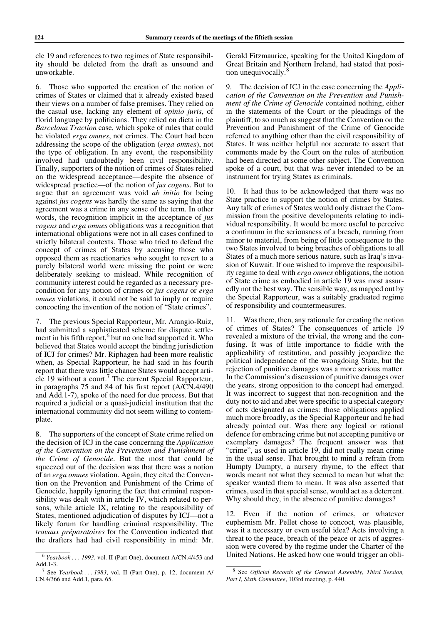cle 19 and references to two regimes of State responsibility should be deleted from the draft as unsound and unworkable.

6. Those who supported the creation of the notion of crimes of States or claimed that it already existed based their views on a number of false premises. They relied on the casual use, lacking any element of *opinio juris*, of florid language by politicians. They relied on dicta in the *Barcelona Traction* case, which spoke of rules that could be violated *erga omnes*, not crimes. The Court had been addressing the scope of the obligation (*erga omnes*), not the type of obligation. In any event, the responsibility involved had undoubtedly been civil responsibility. Finally, supporters of the notion of crimes of States relied on the widespread acceptance—despite the absence of widespread practice—of the notion of *jus cogens*. But to argue that an agreement was void *ab initio* for being against *jus cogens* was hardly the same as saying that the agreement was a crime in any sense of the term. In other words, the recognition implicit in the acceptance of *jus cogens* and *erga omnes* obligations was a recognition that international obligations were not in all cases confined to strictly bilateral contexts. Those who tried to defend the concept of crimes of States by accusing those who opposed them as reactionaries who sought to revert to a purely bilateral world were missing the point or were deliberately seeking to mislead. While recognition of community interest could be regarded as a necessary precondition for any notion of crimes or *jus cogens* or *erga omnes* violations, it could not be said to imply or require concocting the invention of the notion of "State crimes".

7. The previous Special Rapporteur, Mr. Arangio-Ruiz, had submitted a sophisticated scheme for dispute settlement in his fifth report,<sup>6</sup> but no one had supported it. Who believed that States would accept the binding jurisdiction of ICJ for crimes? Mr. Riphagen had been more realistic when, as Special Rapporteur, he had said in his fourth report that there was little chance States would accept article 19 without a court.<sup>7</sup> The current Special Rapporteur, in paragraphs 75 and 84 of his first report (A/CN.4/490 and Add.1-7), spoke of the need for due process. But that required a judicial or a quasi-judicial institution that the international community did not seem willing to contemplate.

8. The supporters of the concept of State crime relied on the decision of ICJ in the case concerning the *Application of the Convention on the Prevention and Punishment of the Crime of Genocide*. But the most that could be squeezed out of the decision was that there was a notion of an *erga omnes* violation. Again, they cited the Convention on the Prevention and Punishment of the Crime of Genocide, happily ignoring the fact that criminal responsibility was dealt with in article IV, which related to persons, while article IX, relating to the responsibility of States, mentioned adjudication of disputes by ICJ—not a likely forum for handling criminal responsibility. The *travaux préparatoires* for the Convention indicated that the drafters had had civil responsibility in mind: Mr.

Gerald Fitzmaurice, speaking for the United Kingdom of Great Britain and Northern Ireland, had stated that position unequivocally.<sup>8</sup>

9. The decision of ICJ in the case concerning the *Application of the Convention on the Prevention and Punishment of the Crime of Genocide* contained nothing, either in the statements of the Court or the pleadings of the plaintiff, to so much as suggest that the Convention on the Prevention and Punishment of the Crime of Genocide referred to anything other than the civil responsibility of States. It was neither helpful nor accurate to assert that comments made by the Court on the rules of attribution had been directed at some other subject. The Convention spoke of a court, but that was never intended to be an instrument for trying States as criminals.

10. It had thus to be acknowledged that there was no State practice to support the notion of crimes by States. Any talk of crimes of States would only distract the Commission from the positive developments relating to individual responsibility. It would be more useful to perceive a continuum in the seriousness of a breach, running from minor to material, from being of little consequence to the two States involved to being breaches of obligations to all States of a much more serious nature, such as Iraq's invasion of Kuwait. If one wished to improve the responsibility regime to deal with *erga omnes* obligations, the notion of State crime as embodied in article 19 was most assuredly not the best way. The sensible way, as mapped out by the Special Rapporteur, was a suitably graduated regime of responsibility and countermeasures.

11. Was there, then, any rationale for creating the notion of crimes of States? The consequences of article 19 revealed a mixture of the trivial, the wrong and the confusing. It was of little importance to fiddle with the applicability of restitution, and possibly jeopardize the political independence of the wrongdoing State, but the rejection of punitive damages was a more serious matter. In the Commission's discussion of punitive damages over the years, strong opposition to the concept had emerged. It was incorrect to suggest that non-recognition and the duty not to aid and abet were specific to a special category of acts designated as crimes: those obligations applied much more broadly, as the Special Rapporteur and he had already pointed out. Was there any logical or rational defence for embracing crime but not accepting punitive or exemplary damages? The frequent answer was that "crime", as used in article 19, did not really mean crime in the usual sense. That brought to mind a refrain from Humpty Dumpty, a nursery rhyme, to the effect that words meant not what they seemed to mean but what the speaker wanted them to mean. It was also asserted that crimes, used in that special sense, would act as a deterrent. Why should they, in the absence of punitive damages?

12. Even if the notion of crimes, or whatever euphemism Mr. Pellet chose to concoct, was plausible, was it a necessary or even useful idea? Acts involving a threat to the peace, breach of the peace or acts of aggression were covered by the regime under the Charter of the United Nations. He asked how one would trigger an obli-

<sup>6</sup> *Yearbook . . . 1993*, vol. II (Part One), document A/CN.4/453 and Add.1-3.

<sup>7</sup> See *Yearbook . . . 1983*, vol. II (Part One), p. 12, document A/ CN.4/366 and Add.1, para. 65.

<sup>8</sup> See *Official Records of the General Assembly, Third Session, Part I, Sixth Committee*, 103rd meeting, p. 440.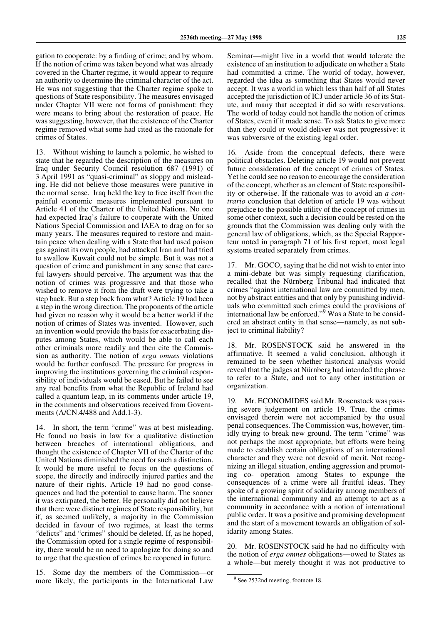gation to cooperate: by a finding of crime; and by whom. If the notion of crime was taken beyond what was already covered in the Charter regime, it would appear to require an authority to determine the criminal character of the act. He was not suggesting that the Charter regime spoke to questions of State responsibility. The measures envisaged under Chapter VII were not forms of punishment: they were means to bring about the restoration of peace. He was suggesting, however, that the existence of the Charter regime removed what some had cited as the rationale for crimes of States.

13. Without wishing to launch a polemic, he wished to state that he regarded the description of the measures on Iraq under Security Council resolution 687 (1991) of 3 April 1991 as "quasi-criminal" as sloppy and misleading. He did not believe those measures were punitive in the normal sense. Iraq held the key to free itself from the painful economic measures implemented pursuant to Article 41 of the Charter of the United Nations. No one had expected Iraq's failure to cooperate with the United Nations Special Commission and IAEA to drag on for so many years. The measures required to restore and maintain peace when dealing with a State that had used poison gas against its own people, had attacked Iran and had tried to swallow Kuwait could not be simple. But it was not a question of crime and punishment in any sense that careful lawyers should perceive. The argument was that the notion of crimes was progressive and that those who wished to remove it from the draft were trying to take a step back. But a step back from what? Article 19 had been a step in the wrong direction. The proponents of the article had given no reason why it would be a better world if the notion of crimes of States was invented. However, such an invention would provide the basis for exacerbating disputes among States, which would be able to call each other criminals more readily and then cite the Commission as authority. The notion of *erga omnes* violations would be further confused. The pressure for progress in improving the institutions governing the criminal responsibility of individuals would be eased. But he failed to see any real benefits from what the Republic of Ireland had called a quantum leap, in its comments under article 19, in the comments and observations received from Governments (A/CN.4/488 and Add.1-3).

14. In short, the term "crime" was at best misleading. He found no basis in law for a qualitative distinction between breaches of international obligations, and thought the existence of Chapter VII of the Charter of the United Nations diminished the need for such a distinction. It would be more useful to focus on the questions of scope, the directly and indirectly injured parties and the nature of their rights. Article 19 had no good consequences and had the potential to cause harm. The sooner it was extirpated, the better. He personally did not believe that there were distinct regimes of State responsibility, but if, as seemed unlikely, a majority in the Commission decided in favour of two regimes, at least the terms "delicts" and "crimes" should be deleted. If, as he hoped, the Commission opted for a single regime of responsibility, there would be no need to apologize for doing so and to urge that the question of crimes be reopened in future.

15. Some day the members of the Commission—or more likely, the participants in the International Law

Seminar—might live in a world that would tolerate the existence of an institution to adjudicate on whether a State had committed a crime. The world of today, however, regarded the idea as something that States would never accept. It was a world in which less than half of all States accepted the jurisdiction of ICJ under article 36 of its Statute, and many that accepted it did so with reservations. The world of today could not handle the notion of crimes of States, even if it made sense. To ask States to give more than they could or would deliver was not progressive: it was subversive of the existing legal order.

16. Aside from the conceptual defects, there were political obstacles. Deleting article 19 would not prevent future consideration of the concept of crimes of States. Yet he could see no reason to encourage the consideration of the concept, whether as an element of State responsibility or otherwise. If the rationale was to avoid an *a contrario* conclusion that deletion of article 19 was without prejudice to the possible utility of the concept of crimes in some other context, such a decision could be rested on the grounds that the Commission was dealing only with the general law of obligations, which, as the Special Rapporteur noted in paragraph 71 of his first report, most legal systems treated separately from crimes.

17. Mr. GOCO, saying that he did not wish to enter into a mini-debate but was simply requesting clarification, recalled that the Nürnberg Tribunal had indicated that crimes "against international law are committed by men, not by abstract entities and that only by punishing individuals who committed such crimes could the provisions of international law be enforced."<sup>9</sup> Was a State to be considered an abstract entity in that sense—namely, as not subject to criminal liability?

18. Mr. ROSENSTOCK said he answered in the affirmative. It seemed a valid conclusion, although it remained to be seen whether historical analysis would reveal that the judges at Nürnberg had intended the phrase to refer to a State, and not to any other institution or organization.

19. Mr. ECONOMIDES said Mr. Rosenstock was passing severe judgement on article 19. True, the crimes envisaged therein were not accompanied by the usual penal consequences. The Commission was, however, timidly trying to break new ground. The term "crime" was not perhaps the most appropriate, but efforts were being made to establish certain obligations of an international character and they were not devoid of merit. Not recognizing an illegal situation, ending aggression and promoting co- operation among States to expunge the consequences of a crime were all fruitful ideas. They spoke of a growing spirit of solidarity among members of the international community and an attempt to act as a community in accordance with a notion of international public order. It was a positive and promising development and the start of a movement towards an obligation of solidarity among States.

20. Mr. ROSENSTOCK said he had no difficulty with the notion of *erga omnes* obligations—owed to States as a whole—but merely thought it was not productive to

<sup>&</sup>lt;sup>9</sup> See 2532nd meeting, footnote 18.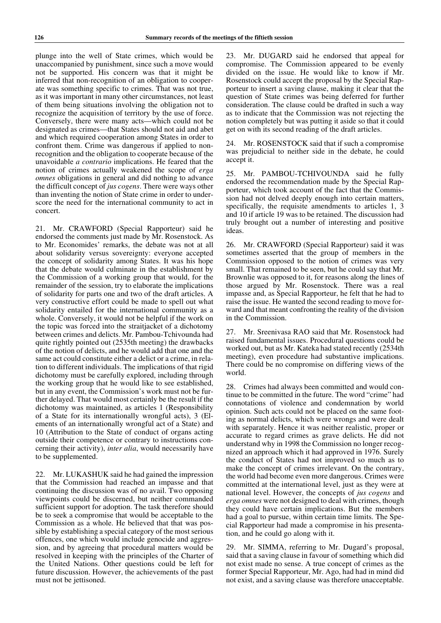plunge into the well of State crimes, which would be unaccompanied by punishment, since such a move would not be supported. His concern was that it might be inferred that non-recognition of an obligation to cooperate was something specific to crimes. That was not true, as it was important in many other circumstances, not least of them being situations involving the obligation not to recognize the acquisition of territory by the use of force. Conversely, there were many acts—which could not be designated as crimes—that States should not aid and abet and which required cooperation among States in order to confront them. Crime was dangerous if applied to nonrecognition and the obligation to cooperate because of the unavoidable *a contrario* implications. He feared that the notion of crimes actually weakened the scope of *erga omnes* obligations in general and did nothing to advance the difficult concept of *jus cogens*. There were ways other than inventing the notion of State crime in order to underscore the need for the international community to act in concert.

21. Mr. CRAWFORD (Special Rapporteur) said he endorsed the comments just made by Mr. Rosenstock. As to Mr. Economides' remarks, the debate was not at all about solidarity versus sovereignty: everyone accepted the concept of solidarity among States. It was his hope that the debate would culminate in the establishment by the Commission of a working group that would, for the remainder of the session, try to elaborate the implications of solidarity for parts one and two of the draft articles. A very constructive effort could be made to spell out what solidarity entailed for the international community as a whole. Conversely, it would not be helpful if the work on the topic was forced into the straitjacket of a dichotomy between crimes and delicts. Mr. Pambou-Tchivounda had quite rightly pointed out (2535th meeting) the drawbacks of the notion of delicts, and he would add that one and the same act could constitute either a delict or a crime, in relation to different individuals. The implications of that rigid dichotomy must be carefully explored, including through the working group that he would like to see established, but in any event, the Commission's work must not be further delayed. That would most certainly be the result if the dichotomy was maintained, as articles 1 (Responsibility of a State for its internationally wrongful acts), 3 (Elements of an internationally wrongful act of a State) and 10 (Attribution to the State of conduct of organs acting outside their competence or contrary to instructions concerning their activity), *inter alia*, would necessarily have to be supplemented.

22. Mr. LUKASHUK said he had gained the impression that the Commission had reached an impasse and that continuing the discussion was of no avail. Two opposing viewpoints could be discerned, but neither commanded sufficient support for adoption. The task therefore should be to seek a compromise that would be acceptable to the Commission as a whole. He believed that that was possible by establishing a special category of the most serious offences, one which would include genocide and aggression, and by agreeing that procedural matters would be resolved in keeping with the principles of the Charter of the United Nations. Other questions could be left for future discussion. However, the achievements of the past must not be jettisoned.

23. Mr. DUGARD said he endorsed that appeal for compromise. The Commission appeared to be evenly divided on the issue. He would like to know if Mr. Rosenstock could accept the proposal by the Special Rapporteur to insert a saving clause, making it clear that the question of State crimes was being deferred for further consideration. The clause could be drafted in such a way as to indicate that the Commission was not rejecting the notion completely but was putting it aside so that it could get on with its second reading of the draft articles.

24. Mr. ROSENSTOCK said that if such a compromise was prejudicial to neither side in the debate, he could accept it.

25. Mr. PAMBOU-TCHIVOUNDA said he fully endorsed the recommendation made by the Special Rapporteur, which took account of the fact that the Commission had not delved deeply enough into certain matters, specifically, the requisite amendments to articles 1, 3 and 10 if article 19 was to be retained. The discussion had truly brought out a number of interesting and positive ideas.

26. Mr. CRAWFORD (Special Rapporteur) said it was sometimes asserted that the group of members in the Commission opposed to the notion of crimes was very small. That remained to be seen, but he could say that Mr. Brownlie was opposed to it, for reasons along the lines of those argued by Mr. Rosenstock. There was a real impasse and, as Special Rapporteur, he felt that he had to raise the issue. He wanted the second reading to move forward and that meant confronting the reality of the division in the Commission.

27. Mr. Sreenivasa RAO said that Mr. Rosenstock had raised fundamental issues. Procedural questions could be worked out, but as Mr. Kateka had stated recently (2534th meeting), even procedure had substantive implications. There could be no compromise on differing views of the world.

28. Crimes had always been committed and would continue to be committed in the future. The word "crime" had connotations of violence and condemnation by world opinion. Such acts could not be placed on the same footing as normal delicts, which were wrongs and were dealt with separately. Hence it was neither realistic, proper or accurate to regard crimes as grave delicts. He did not understand why in 1998 the Commission no longer recognized an approach which it had approved in 1976. Surely the conduct of States had not improved so much as to make the concept of crimes irrelevant. On the contrary, the world had become even more dangerous. Crimes were committed at the international level, just as they were at national level. However, the concepts of *jus cogens* and *erga omnes* were not designed to deal with crimes, though they could have certain implications. But the members had a goal to pursue, within certain time limits. The Special Rapporteur had made a compromise in his presentation, and he could go along with it.

29. Mr. SIMMA, referring to Mr. Dugard's proposal, said that a saving clause in favour of something which did not exist made no sense. A true concept of crimes as the former Special Rapporteur, Mr. Ago, had had in mind did not exist, and a saving clause was therefore unacceptable.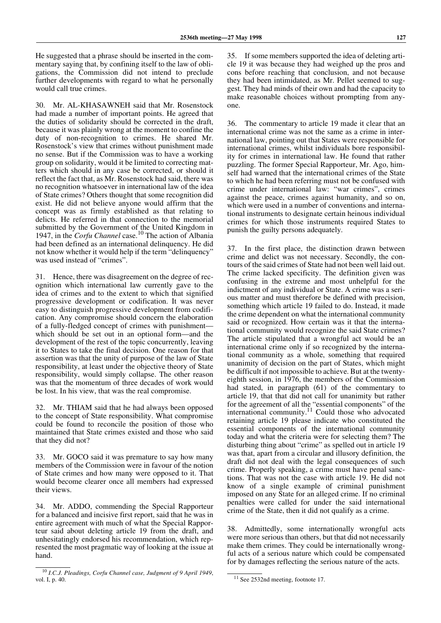He suggested that a phrase should be inserted in the commentary saying that, by confining itself to the law of obligations, the Commission did not intend to preclude further developments with regard to what he personally would call true crimes.

30. Mr. AL-KHASAWNEH said that Mr. Rosenstock had made a number of important points. He agreed that the duties of solidarity should be corrected in the draft, because it was plainly wrong at the moment to confine the duty of non-recognition to crimes. He shared Mr. Rosenstock's view that crimes without punishment made no sense. But if the Commission was to have a working group on solidarity, would it be limited to correcting matters which should in any case be corrected, or should it reflect the fact that, as Mr. Rosenstock had said, there was no recognition whatsoever in international law of the idea of State crimes? Others thought that some recognition did exist. He did not believe anyone would affirm that the concept was as firmly established as that relating to delicts. He referred in that connection to the memorial submitted by the Government of the United Kingdom in 1947, in the *Corfu Channel* case.10 The action of Albania had been defined as an international delinquency. He did not know whether it would help if the term "delinquency" was used instead of "crimes".

31. Hence, there was disagreement on the degree of recognition which international law currently gave to the idea of crimes and to the extent to which that signified progressive development or codification. It was never easy to distinguish progressive development from codification. Any compromise should concern the elaboration of a fully-fledged concept of crimes with punishment which should be set out in an optional form—and the development of the rest of the topic concurrently, leaving it to States to take the final decision. One reason for that assertion was that the unity of purpose of the law of State responsibility, at least under the objective theory of State responsibility, would simply collapse. The other reason was that the momentum of three decades of work would be lost. In his view, that was the real compromise.

32. Mr. THIAM said that he had always been opposed to the concept of State responsibility. What compromise could be found to reconcile the position of those who maintained that State crimes existed and those who said that they did not?

33. Mr. GOCO said it was premature to say how many members of the Commission were in favour of the notion of State crimes and how many were opposed to it. That would become clearer once all members had expressed their views.

34. Mr. ADDO, commending the Special Rapporteur for a balanced and incisive first report, said that he was in entire agreement with much of what the Special Rapporteur said about deleting article 19 from the draft, and unhesitatingly endorsed his recommendation, which represented the most pragmatic way of looking at the issue at hand.

35. If some members supported the idea of deleting article 19 it was because they had weighed up the pros and cons before reaching that conclusion, and not because they had been intimidated, as Mr. Pellet seemed to suggest. They had minds of their own and had the capacity to make reasonable choices without prompting from anyone.

36. The commentary to article 19 made it clear that an international crime was not the same as a crime in international law, pointing out that States were responsible for international crimes, whilst individuals bore responsibility for crimes in international law. He found that rather puzzling. The former Special Rapporteur, Mr. Ago, himself had warned that the international crimes of the State to which he had been referring must not be confused with crime under international law: "war crimes", crimes against the peace, crimes against humanity, and so on, which were used in a number of conventions and international instruments to designate certain heinous individual crimes for which those instruments required States to punish the guilty persons adequately.

37. In the first place, the distinction drawn between crime and delict was not necessary. Secondly, the contours of the said crimes of State had not been well laid out. The crime lacked specificity. The definition given was confusing in the extreme and most unhelpful for the indictment of any individual or State. A crime was a serious matter and must therefore be defined with precision, something which article 19 failed to do. Instead, it made the crime dependent on what the international community said or recognized. How certain was it that the international community would recognize the said State crimes? The article stipulated that a wrongful act would be an international crime only if so recognized by the international community as a whole, something that required unanimity of decision on the part of States, which might be difficult if not impossible to achieve. But at the twentyeighth session, in 1976, the members of the Commission had stated, in paragraph (61) of the commentary to article 19, that that did not call for unanimity but rather for the agreement of all the "essential components" of the international community.<sup>11</sup> Could those who advocated retaining article 19 please indicate who constituted the essential components of the international community today and what the criteria were for selecting them? The disturbing thing about "crime" as spelled out in article 19 was that, apart from a circular and illusory definition, the draft did not deal with the legal consequences of such crime. Properly speaking, a crime must have penal sanctions. That was not the case with article 19. He did not know of a single example of criminal punishment imposed on any State for an alleged crime. If no criminal penalties were called for under the said international crime of the State, then it did not qualify as a crime.

38. Admittedly, some internationally wrongful acts were more serious than others, but that did not necessarily make them crimes. They could be internationally wrongful acts of a serious nature which could be compensated for by damages reflecting the serious nature of the acts.

<sup>10</sup> *I.C.J. Pleadings, Corfu Channel case, Judgment of 9 April 1949*, vol. I, p. 40.

<sup>&</sup>lt;sup>11</sup> See 2532nd meeting, footnote 17.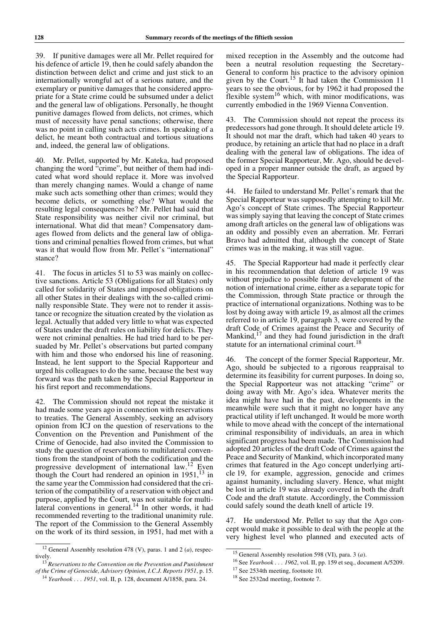39. If punitive damages were all Mr. Pellet required for his defence of article 19, then he could safely abandon the distinction between delict and crime and just stick to an internationally wrongful act of a serious nature, and the exemplary or punitive damages that he considered appropriate for a State crime could be subsumed under a delict and the general law of obligations. Personally, he thought punitive damages flowed from delicts, not crimes, which must of necessity have penal sanctions; otherwise, there was no point in calling such acts crimes. In speaking of a delict, he meant both contractual and tortious situations and, indeed, the general law of obligations.

40. Mr. Pellet, supported by Mr. Kateka, had proposed changing the word "crime", but neither of them had indicated what word should replace it. More was involved than merely changing names. Would a change of name make such acts something other than crimes; would they become delicts, or something else? What would the resulting legal consequences be? Mr. Pellet had said that State responsibility was neither civil nor criminal, but international. What did that mean? Compensatory damages flowed from delicts and the general law of obligations and criminal penalties flowed from crimes, but what was it that would flow from Mr. Pellet's "international" stance?

41. The focus in articles 51 to 53 was mainly on collective sanctions. Article 53 (Obligations for all States) only called for solidarity of States and imposed obligations on all other States in their dealings with the so-called criminally responsible State. They were not to render it assistance or recognize the situation created by the violation as legal. Actually that added very little to what was expected of States under the draft rules on liability for delicts. They were not criminal penalties. He had tried hard to be persuaded by Mr. Pellet's observations but parted company with him and those who endorsed his line of reasoning. Instead, he lent support to the Special Rapporteur and urged his colleagues to do the same, because the best way forward was the path taken by the Special Rapporteur in his first report and recommendations.

42. The Commission should not repeat the mistake it had made some years ago in connection with reservations to treaties. The General Assembly, seeking an advisory opinion from ICJ on the question of reservations to the Convention on the Prevention and Punishment of the Crime of Genocide, had also invited the Commission to study the question of reservations to multilateral conventions from the standpoint of both the codification and the progressive development of international law.12 Even though the Court had rendered an opinion in  $1951$ ,  $^{13}$  in the same year the Commission had considered that the criterion of the compatibility of a reservation with object and purpose, applied by the Court, was not suitable for multilateral conventions in general. $14$  In other words, it had recommended reverting to the traditional unanimity rule. The report of the Commission to the General Assembly on the work of its third session, in 1951, had met with a

mixed reception in the Assembly and the outcome had been a neutral resolution requesting the Secretary-General to conform his practice to the advisory opinion given by the Court.<sup>15</sup> It had taken the Commission 11 years to see the obvious, for by 1962 it had proposed the flexible system<sup>16</sup> which, with minor modifications, was currently embodied in the 1969 Vienna Convention.

43. The Commission should not repeat the process its predecessors had gone through. It should delete article 19. It should not mar the draft, which had taken 40 years to produce, by retaining an article that had no place in a draft dealing with the general law of obligations. The idea of the former Special Rapporteur, Mr. Ago, should be developed in a proper manner outside the draft, as argued by the Special Rapporteur.

44. He failed to understand Mr. Pellet's remark that the Special Rapporteur was supposedly attempting to kill Mr. Ago's concept of State crimes. The Special Rapporteur was simply saying that leaving the concept of State crimes among draft articles on the general law of obligations was an oddity and possibly even an aberration. Mr. Ferrari Bravo had admitted that, although the concept of State crimes was in the making, it was still vague.

45. The Special Rapporteur had made it perfectly clear in his recommendation that deletion of article 19 was without prejudice to possible future development of the notion of international crime, either as a separate topic for the Commission, through State practice or through the practice of international organizations. Nothing was to be lost by doing away with article 19, as almost all the crimes referred to in article 19, paragraph 3, were covered by the draft Code of Crimes against the Peace and Security of Mankind, $17$  and they had found jurisdiction in the draft statute for an international criminal court.<sup>18</sup>

46. The concept of the former Special Rapporteur, Mr. Ago, should be subjected to a rigorous reappraisal to determine its feasibility for current purposes. In doing so, the Special Rapporteur was not attacking "crime" or doing away with Mr. Ago's idea. Whatever merits the idea might have had in the past, developments in the meanwhile were such that it might no longer have any practical utility if left unchanged. It would be more worth while to move ahead with the concept of the international criminal responsibility of individuals, an area in which significant progress had been made. The Commission had adopted 20 articles of the draft Code of Crimes against the Peace and Security of Mankind, which incorporated many crimes that featured in the Ago concept underlying article 19, for example, aggression, genocide and crimes against humanity, including slavery. Hence, what might be lost in article 19 was already covered in both the draft Code and the draft statute. Accordingly, the Commission could safely sound the death knell of article 19.

47. He understood Mr. Pellet to say that the Ago concept would make it possible to deal with the people at the very highest level who planned and executed acts of

<sup>12</sup> General Assembly resolution 478 (V), paras. 1 and 2 (*a*), respectively.

<sup>13</sup> *Reservations to the Convention on the Prevention and Punishment of the Crime of Genocide, Advisory Opinion, I.C.J. Reports 1951*, p. 15. <sup>14</sup> *Yearbook . . . 1951*, vol. II, p. 128, document A/1858, para. 24.

<sup>15</sup> General Assembly resolution 598 (VI), para. 3 (*a*).

<sup>16</sup> See *Yearbook . . . 1962*, vol. II, pp. 159 et seq., document A/5209.

<sup>&</sup>lt;sup>17</sup> See 2534th meeting, footnote 10.

<sup>18</sup> See 2532nd meeting, footnote 7.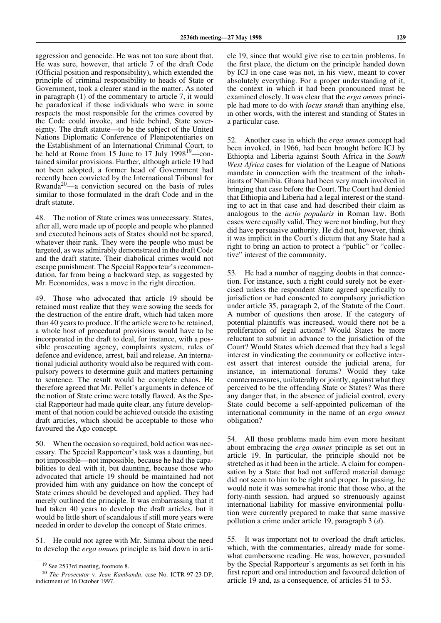aggression and genocide. He was not too sure about that. He was sure, however, that article 7 of the draft Code (Official position and responsibility), which extended the principle of criminal responsibility to heads of State or Government, took a clearer stand in the matter. As noted in paragraph (1) of the commentary to article 7, it would be paradoxical if those individuals who were in some respects the most responsible for the crimes covered by the Code could invoke, and hide behind, State sovereignty. The draft statute—to be the subject of the United Nations Diplomatic Conference of Plenipotentiaries on the Establishment of an International Criminal Court, to be held at Rome from 15 June to 17 July 1998<sup>19</sup>—contained similar provisions. Further, although article 19 had not been adopted, a former head of Government had recently been convicted by the International Tribunal for Rwanda20—a conviction secured on the basis of rules similar to those formulated in the draft Code and in the draft statute.

48. The notion of State crimes was unnecessary. States, after all, were made up of people and people who planned and executed heinous acts of States should not be spared, whatever their rank. They were the people who must be targeted, as was admirably demonstrated in the draft Code and the draft statute. Their diabolical crimes would not escape punishment. The Special Rapporteur's recommendation, far from being a backward step, as suggested by Mr. Economides, was a move in the right direction.

49. Those who advocated that article 19 should be retained must realize that they were sowing the seeds for the destruction of the entire draft, which had taken more than 40 years to produce. If the article were to be retained, a whole host of procedural provisions would have to be incorporated in the draft to deal, for instance, with a possible prosecuting agency, complaints system, rules of defence and evidence, arrest, bail and release. An international judicial authority would also be required with compulsory powers to determine guilt and matters pertaining to sentence. The result would be complete chaos. He therefore agreed that Mr. Pellet's arguments in defence of the notion of State crime were totally flawed. As the Special Rapporteur had made quite clear, any future development of that notion could be achieved outside the existing draft articles, which should be acceptable to those who favoured the Ago concept.

50. When the occasion so required, bold action was necessary. The Special Rapporteur's task was a daunting, but not impossible—not impossible, because he had the capabilities to deal with it, but daunting, because those who advocated that article 19 should be maintained had not provided him with any guidance on how the concept of State crimes should be developed and applied. They had merely outlined the principle. It was embarrassing that it had taken 40 years to develop the draft articles, but it would be little short of scandalous if still more years were needed in order to develop the concept of State crimes.

51. He could not agree with Mr. Simma about the need to develop the *erga omnes* principle as laid down in article 19, since that would give rise to certain problems. In the first place, the dictum on the principle handed down by ICJ in one case was not, in his view, meant to cover absolutely everything. For a proper understanding of it, the context in which it had been pronounced must be examined closely. It was clear that the *erga omnes* principle had more to do with *locus standi* than anything else, in other words, with the interest and standing of States in a particular case.

52. Another case in which the *erga omnes* concept had been invoked, in 1966, had been brought before ICJ by Ethiopia and Liberia against South Africa in the *South West Africa* cases for violation of the League of Nations mandate in connection with the treatment of the inhabitants of Namibia. Ghana had been very much involved in bringing that case before the Court. The Court had denied that Ethiopia and Liberia had a legal interest or the standing to act in that case and had described their claim as analogous to the *actio popularis* in Roman law. Both cases were equally valid. They were not binding, but they did have persuasive authority. He did not, however, think it was implicit in the Court's dictum that any State had a right to bring an action to protect a "public" or "collective" interest of the community.

53. He had a number of nagging doubts in that connection. For instance, such a right could surely not be exercised unless the respondent State agreed specifically to jurisdiction or had consented to compulsory jurisdiction under article 35, paragraph 2, of the Statute of the Court. A number of questions then arose. If the category of potential plaintiffs was increased, would there not be a proliferation of legal actions? Would States be more reluctant to submit in advance to the jurisdiction of the Court? Would States which deemed that they had a legal interest in vindicating the community or collective interest assert that interest outside the judicial arena, for instance, in international forums? Would they take countermeasures, unilaterally or jointly, against what they perceived to be the offending State or States? Was there any danger that, in the absence of judicial control, every State could become a self-appointed policeman of the international community in the name of an *erga omnes* obligation?

54. All those problems made him even more hesitant about embracing the *erga omnes* principle as set out in article 19. In particular, the principle should not be stretched as it had been in the article. A claim for compensation by a State that had not suffered material damage did not seem to him to be right and proper. In passing, he would note it was somewhat ironic that those who, at the forty-ninth session, had argued so strenuously against international liability for massive environmental pollution were currently prepared to make that same massive pollution a crime under article 19, paragraph 3 (*d*).

55. It was important not to overload the draft articles, which, with the commentaries, already made for somewhat cumbersome reading. He was, however, persuaded by the Special Rapporteur's arguments as set forth in his first report and oral introduction and favoured deletion of article 19 and, as a consequence, of articles 51 to 53.

<sup>&</sup>lt;sup>19</sup> See 2533rd meeting, footnote 8.

<sup>20</sup> *The Prosecutor* v. *Jean Kambanda*, case No. ICTR-97-23-DP, indictment of 16 October 1997.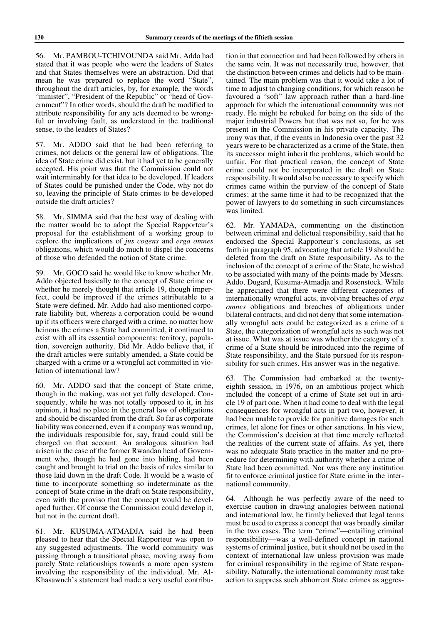56. Mr. PAMBOU-TCHIVOUNDA said Mr. Addo had stated that it was people who were the leaders of States and that States themselves were an abstraction. Did that mean he was prepared to replace the word "State", throughout the draft articles, by, for example, the words "minister", "President of the Republic" or "head of Government"? In other words, should the draft be modified to attribute responsibility for any acts deemed to be wrongful or involving fault, as understood in the traditional sense, to the leaders of States?

57. Mr. ADDO said that he had been referring to crimes, not delicts or the general law of obligations. The idea of State crime did exist, but it had yet to be generally accepted. His point was that the Commission could not wait interminably for that idea to be developed. If leaders of States could be punished under the Code, why not do so, leaving the principle of State crimes to be developed outside the draft articles?

58. Mr. SIMMA said that the best way of dealing with the matter would be to adopt the Special Rapporteur's proposal for the establishment of a working group to explore the implications of *jus cogens* and *erga omnes* obligations, which would do much to dispel the concerns of those who defended the notion of State crime.

59. Mr. GOCO said he would like to know whether Mr. Addo objected basically to the concept of State crime or whether he merely thought that article 19, though imperfect, could be improved if the crimes attributable to a State were defined. Mr. Addo had also mentioned corporate liability but, whereas a corporation could be wound up if its officers were charged with a crime, no matter how heinous the crimes a State had committed, it continued to exist with all its essential components: territory, population, sovereign authority. Did Mr. Addo believe that, if the draft articles were suitably amended, a State could be charged with a crime or a wrongful act committed in violation of international law?

60. Mr. ADDO said that the concept of State crime, though in the making, was not yet fully developed. Consequently, while he was not totally opposed to it, in his opinion, it had no place in the general law of obligations and should be discarded from the draft. So far as corporate liability was concerned, even if a company was wound up, the individuals responsible for, say, fraud could still be charged on that account. An analogous situation had arisen in the case of the former Rwandan head of Government who, though he had gone into hiding, had been caught and brought to trial on the basis of rules similar to those laid down in the draft Code. It would be a waste of time to incorporate something so indeterminate as the concept of State crime in the draft on State responsibility, even with the proviso that the concept would be developed further. Of course the Commission could develop it, but not in the current draft.

61. Mr. KUSUMA-ATMADJA said he had been pleased to hear that the Special Rapporteur was open to any suggested adjustments. The world community was passing through a transitional phase, moving away from purely State relationships towards a more open system involving the responsibility of the individual. Mr. Al-Khasawneh's statement had made a very useful contribution in that connection and had been followed by others in the same vein. It was not necessarily true, however, that the distinction between crimes and delicts had to be maintained. The main problem was that it would take a lot of time to adjust to changing conditions, for which reason he favoured a "soft" law approach rather than a hard-line approach for which the international community was not ready. He might be rebuked for being on the side of the major industrial Powers but that was not so, for he was present in the Commission in his private capacity. The irony was that, if the events in Indonesia over the past 32 years were to be characterized as a crime of the State, then its successor might inherit the problems, which would be unfair. For that practical reason, the concept of State crime could not be incorporated in the draft on State responsibility. It would also be necessary to specify which crimes came within the purview of the concept of State crimes; at the same time it had to be recognized that the power of lawyers to do something in such circumstances was limited.

62. Mr. YAMADA, commenting on the distinction between criminal and delictual responsibility, said that he endorsed the Special Rapporteur's conclusions, as set forth in paragraph 95, advocating that article 19 should be deleted from the draft on State responsibility. As to the inclusion of the concept of a crime of the State, he wished to be associated with many of the points made by Messrs. Addo, Dugard, Kusuma-Atmadja and Rosenstock. While he appreciated that there were different categories of internationally wrongful acts, involving breaches of *erga omnes* obligations and breaches of obligations under bilateral contracts, and did not deny that some internationally wrongful acts could be categorized as a crime of a State, the categorization of wrongful acts as such was not at issue. What was at issue was whether the category of a crime of a State should be introduced into the regime of State responsibility, and the State pursued for its responsibility for such crimes. His answer was in the negative.

63. The Commission had embarked at the twentyeighth session, in 1976, on an ambitious project which included the concept of a crime of State set out in article 19 of part one. When it had come to deal with the legal consequences for wrongful acts in part two, however, it had been unable to provide for punitive damages for such crimes, let alone for fines or other sanctions. In his view, the Commission's decision at that time merely reflected the realities of the current state of affairs. As yet, there was no adequate State practice in the matter and no procedure for determining with authority whether a crime of State had been committed. Nor was there any institution fit to enforce criminal justice for State crime in the international community.

64. Although he was perfectly aware of the need to exercise caution in drawing analogies between national and international law, he firmly believed that legal terms must be used to express a concept that was broadly similar in the two cases. The term "crime"—entailing criminal responsibility—was a well-defined concept in national systems of criminal justice, but it should not be used in the context of international law unless provision was made for criminal responsibility in the regime of State responsibility. Naturally, the international community must take action to suppress such abhorrent State crimes as aggres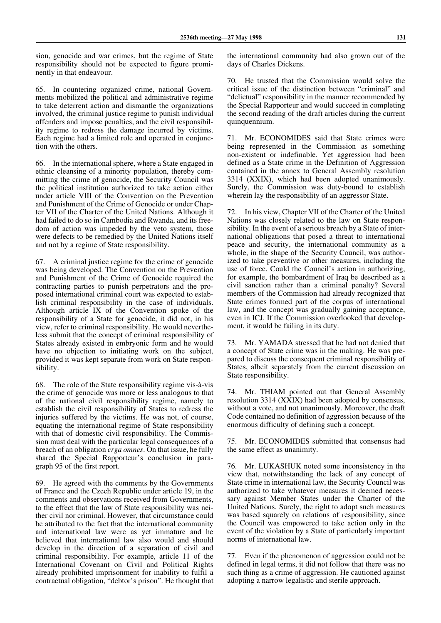sion, genocide and war crimes, but the regime of State responsibility should not be expected to figure prominently in that endeavour.

65. In countering organized crime, national Governments mobilized the political and administrative regime to take deterrent action and dismantle the organizations involved, the criminal justice regime to punish individual offenders and impose penalties, and the civil responsibility regime to redress the damage incurred by victims. Each regime had a limited role and operated in conjunction with the others.

66. In the international sphere, where a State engaged in ethnic cleansing of a minority population, thereby committing the crime of genocide, the Security Council was the political institution authorized to take action either under article VIII of the Convention on the Prevention and Punishment of the Crime of Genocide or under Chapter VII of the Charter of the United Nations. Although it had failed to do so in Cambodia and Rwanda, and its freedom of action was impeded by the veto system, those were defects to be remedied by the United Nations itself and not by a regime of State responsibility.

67. A criminal justice regime for the crime of genocide was being developed. The Convention on the Prevention and Punishment of the Crime of Genocide required the contracting parties to punish perpetrators and the proposed international criminal court was expected to establish criminal responsibility in the case of individuals. Although article IX of the Convention spoke of the responsibility of a State for genocide, it did not, in his view, refer to criminal responsibility. He would nevertheless submit that the concept of criminal responsibility of States already existed in embryonic form and he would have no objection to initiating work on the subject, provided it was kept separate from work on State responsibility.

68. The role of the State responsibility regime vis-à-vis the crime of genocide was more or less analogous to that of the national civil responsibility regime, namely to establish the civil responsibility of States to redress the injuries suffered by the victims. He was not, of course, equating the international regime of State responsibility with that of domestic civil responsibility. The Commission must deal with the particular legal consequences of a breach of an obligation *erga omnes*. On that issue, he fully shared the Special Rapporteur's conclusion in paragraph 95 of the first report.

69. He agreed with the comments by the Governments of France and the Czech Republic under article 19, in the comments and observations received from Governments, to the effect that the law of State responsibility was neither civil nor criminal. However, that circumstance could be attributed to the fact that the international community and international law were as yet immature and he believed that international law also would and should develop in the direction of a separation of civil and criminal responsibility. For example, article 11 of the International Covenant on Civil and Political Rights already prohibited imprisonment for inability to fulfil a contractual obligation, "debtor's prison". He thought that

the international community had also grown out of the days of Charles Dickens.

70. He trusted that the Commission would solve the critical issue of the distinction between "criminal" and "delictual" responsibility in the manner recommended by the Special Rapporteur and would succeed in completing the second reading of the draft articles during the current quinquennium.

71. Mr. ECONOMIDES said that State crimes were being represented in the Commission as something non-existent or indefinable. Yet aggression had been defined as a State crime in the Definition of Aggression contained in the annex to General Assembly resolution 3314 (XXIX), which had been adopted unanimously. Surely, the Commission was duty-bound to establish wherein lay the responsibility of an aggressor State.

72. In his view, Chapter VII of the Charter of the United Nations was closely related to the law on State responsibility. In the event of a serious breach by a State of international obligations that posed a threat to international peace and security, the international community as a whole, in the shape of the Security Council, was authorized to take preventive or other measures, including the use of force. Could the Council's action in authorizing, for example, the bombardment of Iraq be described as a civil sanction rather than a criminal penalty? Several members of the Commission had already recognized that State crimes formed part of the corpus of international law, and the concept was gradually gaining acceptance, even in ICJ. If the Commission overlooked that development, it would be failing in its duty.

73. Mr. YAMADA stressed that he had not denied that a concept of State crime was in the making. He was prepared to discuss the consequent criminal responsibility of States, albeit separately from the current discussion on State responsibility.

74. Mr. THIAM pointed out that General Assembly resolution 3314 (XXIX) had been adopted by consensus, without a vote, and not unanimously. Moreover, the draft Code contained no definition of aggression because of the enormous difficulty of defining such a concept.

75. Mr. ECONOMIDES submitted that consensus had the same effect as unanimity.

76. Mr. LUKASHUK noted some inconsistency in the view that, notwithstanding the lack of any concept of State crime in international law, the Security Council was authorized to take whatever measures it deemed necessary against Member States under the Charter of the United Nations. Surely, the right to adopt such measures was based squarely on relations of responsibility, since the Council was empowered to take action only in the event of the violation by a State of particularly important norms of international law.

77. Even if the phenomenon of aggression could not be defined in legal terms, it did not follow that there was no such thing as a crime of aggression. He cautioned against adopting a narrow legalistic and sterile approach.